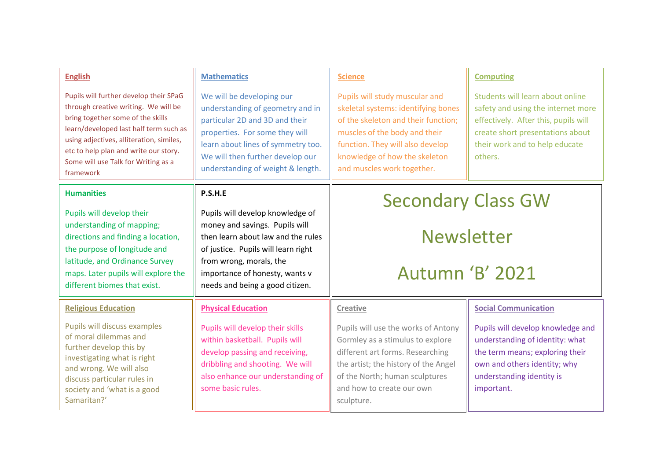| <b>English</b>                                                                                                                                                                                                                                                                                         | <b>Mathematics</b>                                                                                                                                                                                                                               | <b>Science</b>                                                                                                                                                                                                                                   | <b>Computing</b>                                                                                                                                                                                |
|--------------------------------------------------------------------------------------------------------------------------------------------------------------------------------------------------------------------------------------------------------------------------------------------------------|--------------------------------------------------------------------------------------------------------------------------------------------------------------------------------------------------------------------------------------------------|--------------------------------------------------------------------------------------------------------------------------------------------------------------------------------------------------------------------------------------------------|-------------------------------------------------------------------------------------------------------------------------------------------------------------------------------------------------|
| Pupils will further develop their SPaG<br>through creative writing. We will be<br>bring together some of the skills<br>learn/developed last half term such as<br>using adjectives, alliteration, similes,<br>etc to help plan and write our story.<br>Some will use Talk for Writing as a<br>framework | We will be developing our<br>understanding of geometry and in<br>particular 2D and 3D and their<br>properties. For some they will<br>learn about lines of symmetry too.<br>We will then further develop our<br>understanding of weight & length. | Pupils will study muscular and<br>skeletal systems: identifying bones<br>of the skeleton and their function;<br>muscles of the body and their<br>function. They will also develop<br>knowledge of how the skeleton<br>and muscles work together. | Students will learn about online<br>safety and using the internet more<br>effectively. After this, pupils will<br>create short presentations about<br>their work and to help educate<br>others. |
| <b>Humanities</b>                                                                                                                                                                                                                                                                                      | P.S.H.E                                                                                                                                                                                                                                          | <b>Secondary Class GW</b><br><b>Newsletter</b><br><b>Autumn 'B' 2021</b>                                                                                                                                                                         |                                                                                                                                                                                                 |
| Pupils will develop their<br>understanding of mapping;<br>directions and finding a location,<br>the purpose of longitude and<br>latitude, and Ordinance Survey<br>maps. Later pupils will explore the<br>different biomes that exist.                                                                  | Pupils will develop knowledge of<br>money and savings. Pupils will<br>then learn about law and the rules<br>of justice. Pupils will learn right<br>from wrong, morals, the<br>importance of honesty, wants v<br>needs and being a good citizen.  |                                                                                                                                                                                                                                                  |                                                                                                                                                                                                 |
| <b>Religious Education</b>                                                                                                                                                                                                                                                                             | <b>Physical Education</b>                                                                                                                                                                                                                        | <b>Creative</b>                                                                                                                                                                                                                                  | <b>Social Communication</b>                                                                                                                                                                     |
| Pupils will discuss examples<br>of moral dilemmas and<br>further develop this by<br>investigating what is right<br>and wrong. We will also<br>discuss particular rules in<br>society and 'what is a good<br>Samaritan?'                                                                                | Pupils will develop their skills<br>within basketball. Pupils will<br>develop passing and receiving,<br>dribbling and shooting. We will<br>also enhance our understanding of<br>some basic rules.                                                | Pupils will use the works of Antony<br>Gormley as a stimulus to explore<br>different art forms. Researching<br>the artist; the history of the Angel<br>of the North; human sculptures<br>and how to create our own<br>sculpture.                 | Pupils will develop knowledge and<br>understanding of identity: what<br>the term means; exploring their<br>own and others identity; why<br>understanding identity is<br>important.              |